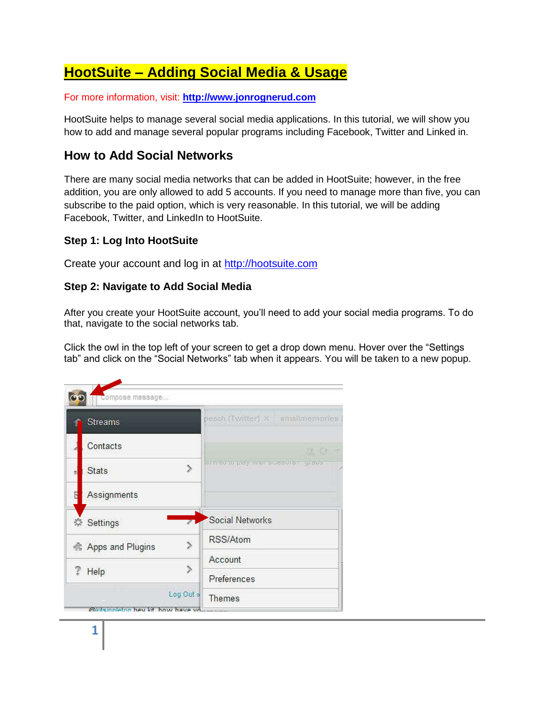# **HootSuite – Adding Social Media & Usage**

For more information, visit: **[http://www.jonrognerud.com](http://www.jonrognerud.com/)**

HootSuite helps to manage several social media applications. In this tutorial, we will show you how to add and manage several popular programs including Facebook, Twitter and Linked in.

# **How to Add Social Networks**

There are many social media networks that can be added in HootSuite; however, in the free addition, you are only allowed to add 5 accounts. If you need to manage more than five, you can subscribe to the paid option, which is very reasonable. In this tutorial, we will be adding Facebook, Twitter, and LinkedIn to HootSuite.

# **Step 1: Log Into HootSuite**

Create your account and log in at [http://hootsuite.com](http://hootsuite.com/)

# **Step 2: Navigate to Add Social Media**

After you create your HootSuite account, you'll need to add your social media programs. To do that, navigate to the social networks tab.

Click the owl in the top left of your screen to get a drop down menu. Hover over the "Settings tab" and click on the "Social Networks" tab when it appears. You will be taken to a new popup.

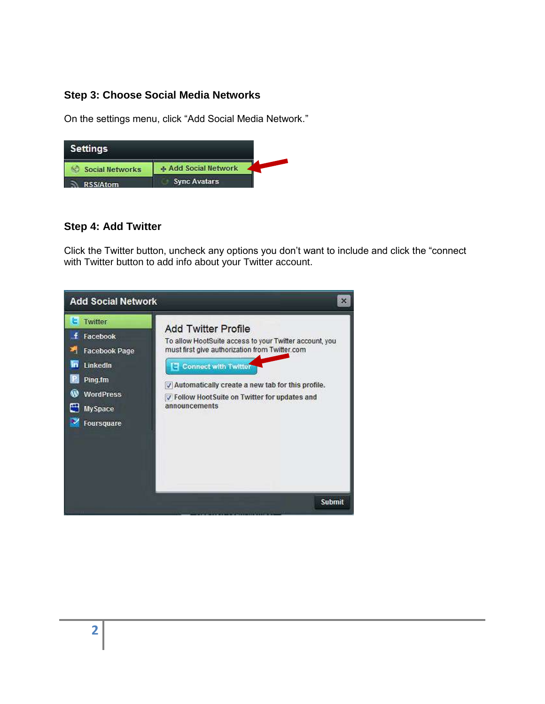# **Step 3: Choose Social Media Networks**

On the settings menu, click "Add Social Media Network."



#### **Step 4: Add Twitter**

Click the Twitter button, uncheck any options you don't want to include and click the "connect with Twitter button to add info about your Twitter account.

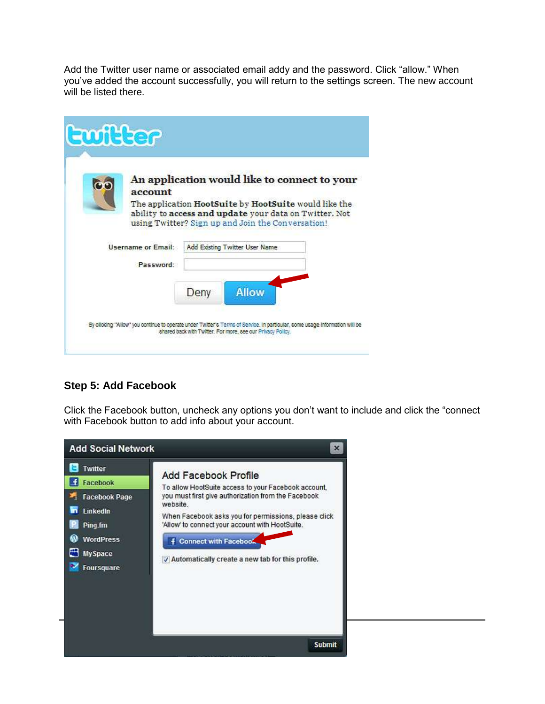Add the Twitter user name or associated email addy and the password. Click "allow." When you've added the account successfully, you will return to the settings screen. The new account will be listed there.

| An application would like to connect to your<br>account |      |                                                        |  |  |  |
|---------------------------------------------------------|------|--------------------------------------------------------|--|--|--|
| The application HootSuite by HootSuite would like the   |      | ability to access and update your data on Twitter. Not |  |  |  |
|                                                         |      | using Twitter? Sign up and Join the Conversation!      |  |  |  |
| <b>Username or Email:</b>                               |      | Add Existing Twitter User Name                         |  |  |  |
| Password:                                               |      |                                                        |  |  |  |
|                                                         | Deny | <b>Allow</b>                                           |  |  |  |

# **Step 5: Add Facebook**

Click the Facebook button, uncheck any options you don't want to include and click the "connect with Facebook button to add info about your account.

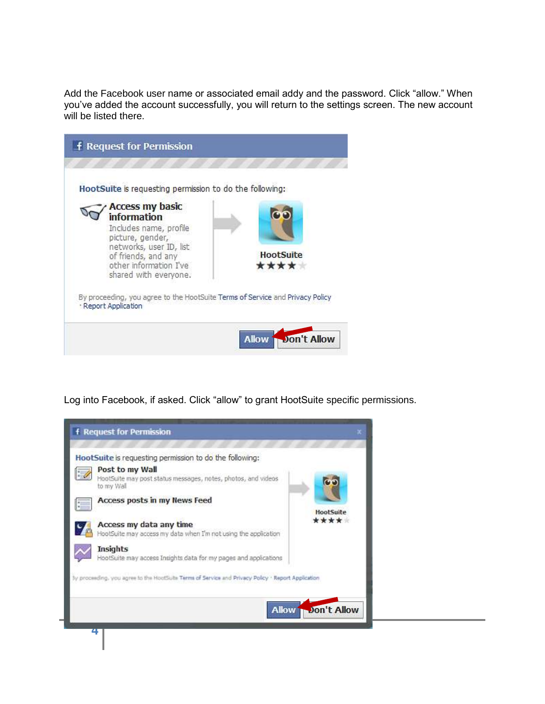Add the Facebook user name or associated email addy and the password. Click "allow." When you've added the account successfully, you will return to the settings screen. The new account will be listed there.



Log into Facebook, if asked. Click "allow" to grant HootSuite specific permissions.

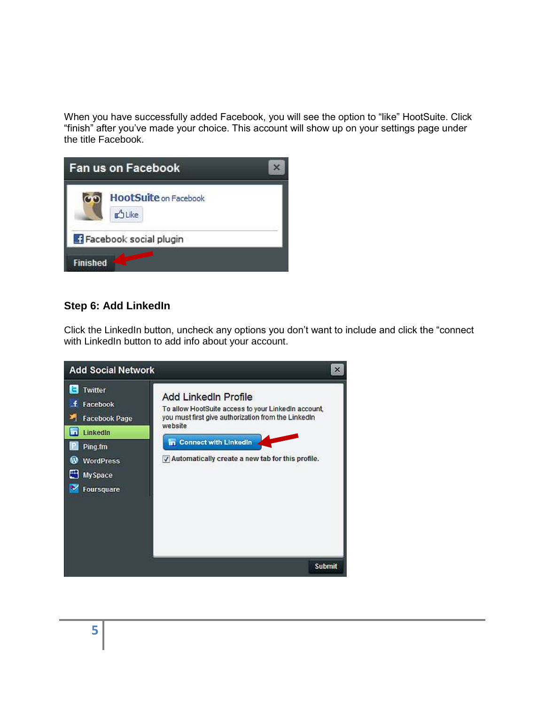When you have successfully added Facebook, you will see the option to "like" HootSuite. Click "finish" after you've made your choice. This account will show up on your settings page under the title Facebook.

| <b>Fan us on Facebook</b>                               |  |
|---------------------------------------------------------|--|
| <b>HootSuite on Facebook</b><br>$\circ$<br><b>DLike</b> |  |
| Facebook social plugin                                  |  |
| <b>Finished</b>                                         |  |

# **Step 6: Add LinkedIn**

Click the LinkedIn button, uncheck any options you don't want to include and click the "connect with LinkedIn button to add info about your account.

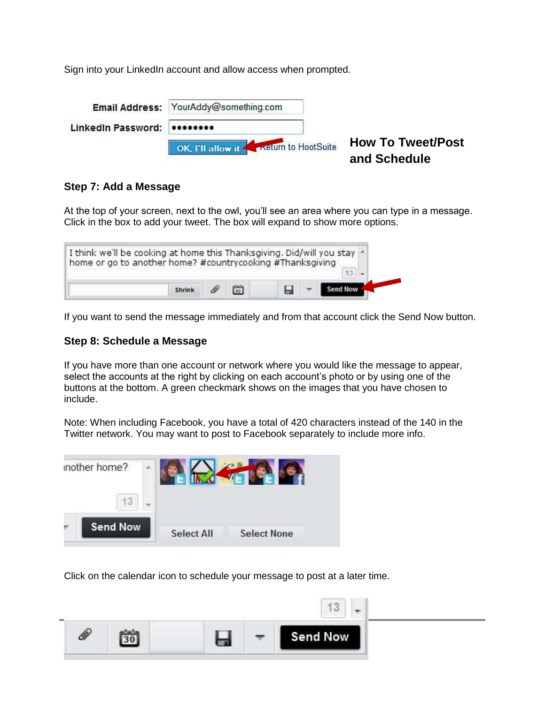Sign into your LinkedIn account and allow access when prompted.

|                             | Email Address: YourAddy@something.com |                                          |
|-----------------------------|---------------------------------------|------------------------------------------|
| LinkedIn Password: 00000000 |                                       |                                          |
|                             | OK. I'll allow it                     | <b>How To Tweet/Post</b><br>and Schedule |

#### **Step 7: Add a Message**

At the top of your screen, next to the owl, you'll see an area where you can type in a message. Click in the box to add your tweet. The box will expand to show more options.

| I think we'll be cooking at home this Thanksgiving. Did/will you stay *<br>home or go to another home? #countrycooking #Thanksgiving |  |  |  |
|--------------------------------------------------------------------------------------------------------------------------------------|--|--|--|
| Shrink                                                                                                                               |  |  |  |

If you want to send the message immediately and from that account click the Send Now button.

#### **Step 8: Schedule a Message**

If you have more than one account or network where you would like the message to appear, select the accounts at the right by clicking on each account's photo or by using one of the buttons at the bottom. A green checkmark shows on the images that you have chosen to include.

Note: When including Facebook, you have a total of 420 characters instead of the 140 in the Twitter network. You may want to post to Facebook separately to include more info.



Click on the calendar icon to schedule your message to post at a later time.